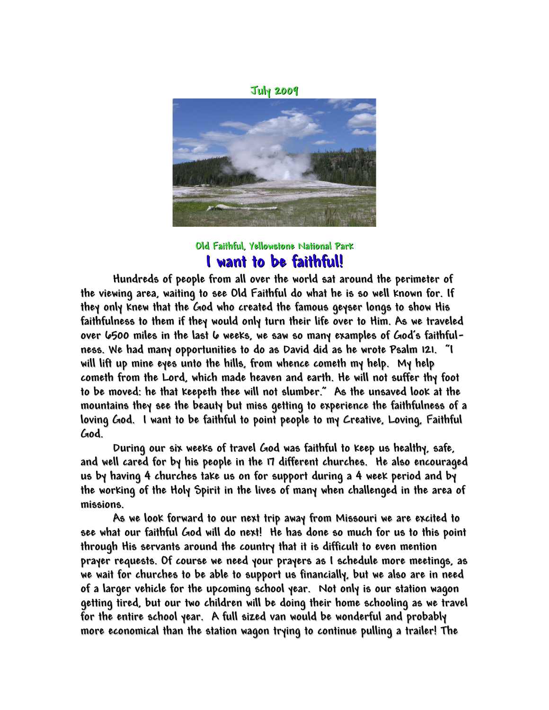**July 2009**



**Old Faithful, Yellowstone National Park I want to be faithful!**

**Hundreds of people from all over the world sat around the perimeter of the viewing area, waiting to see Old Faithful do what he is so well known for. If they only knew that the God who created the famous geyser longs to show His faithfulness to them if they would only turn their life over to Him. As we traveled over 6500 miles in the last 6 weeks, we saw so many examples of God's faithfulness. We had many opportunities to do as David did as he wrote Psalm 121. "I will lift up mine eyes unto the hills, from whence cometh my help. My help cometh from the Lord, which made heaven and earth. He will not suffer thy foot to be moved: he that keepeth thee will not slumber." As the unsaved look at the mountains they see the beauty but miss getting to experience the faithfulness of a loving God. I want to be faithful to point people to my Creative, Loving, Faithful God.**

**During our six weeks of travel God was faithful to keep us healthy, safe, and well cared for by his people in the 17 different churches. He also encouraged us by having 4 churches take us on for support during a 4 week period and by the working of the Holy Spirit in the lives of many when challenged in the area of missions.**

**As we look forward to our next trip away from Missouri we are excited to see what our faithful God will do next! He has done so much for us to this point through His servants around the country that it is difficult to even mention prayer requests. Of course we need your prayers as I schedule more meetings, as we wait for churches to be able to support us financially, but we also are in need of a larger vehicle for the upcoming school year. Not only is our station wagon getting tired, but our two children will be doing their home schooling as we travel for the entire school year. A full sized van would be wonderful and probably more economical than the station wagon trying to continue pulling a trailer! The**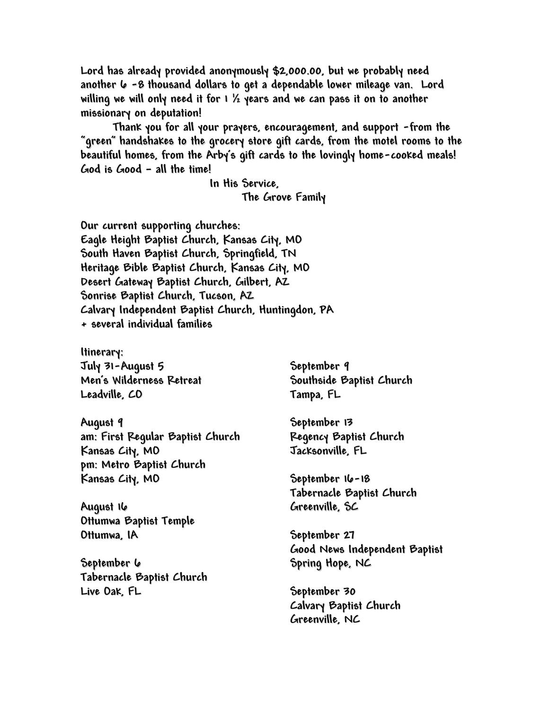**Lord has already provided anonymously \$2,000.00, but we probably need another 6 -8 thousand dollars to get a dependable lower mileage van. Lord willing we will only need it for 1 ½ years and we can pass it on to another missionary on deputation!**

**Thank you for all your prayers, encouragement, and support -from the "green" handshakes to the grocery store gift cards, from the motel rooms to the beautiful homes, from the Arby's gift cards to the lovingly home-cooked meals! God is Good – all the time!**

> **In His Service, The Grove Family**

**Our current supporting churches: Eagle Height Baptist Church, Kansas City, MO South Haven Baptist Church, Springfield, TN Heritage Bible Baptist Church, Kansas City, MO Desert Gateway Baptist Church, Gilbert, AZ Sonrise Baptist Church, Tucson, AZ Calvary Independent Baptist Church, Huntingdon, PA + several individual families**

**Itinerary: July 31-August 5 Men's Wilderness Retreat Leadville, CO**

**August 9 am: First Regular Baptist Church Kansas City, MO pm: Metro Baptist Church Kansas City, MO**

**August 16 Ottumwa Baptist Temple Ottumwa, IA**

**September 6 Tabernacle Baptist Church Live Oak, FL**

**September 9 Southside Baptist Church Tampa, FL**

**September 13 Regency Baptist Church Jacksonville, FL**

**September 16-18 Tabernacle Baptist Church Greenville, SC**

**September 27 Good News Independent Baptist Spring Hope, NC**

**September 30 Calvary Baptist Church Greenville, NC**